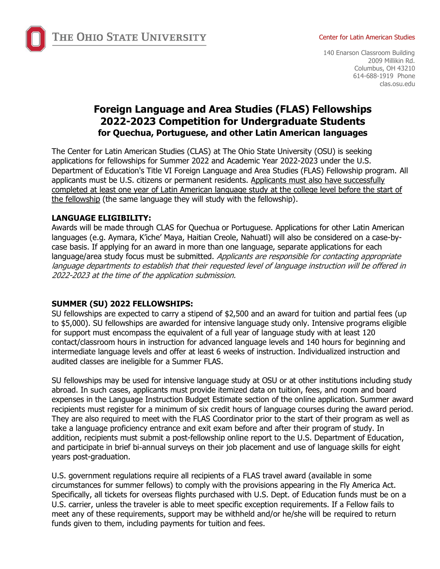

#### Center for Latin American Studies

140 Enarson Classroom Building 2009 Millikin Rd. Columbus, OH 43210 614-688-1919 Phone clas.osu.edu

# **Foreign Language and Area Studies (FLAS) Fellowships 2022-2023 Competition for Undergraduate Students for Quechua, Portuguese, and other Latin American languages**

The Center for Latin American Studies (CLAS) at The Ohio State University (OSU) is seeking applications for fellowships for Summer 2022 and Academic Year 2022-2023 under the U.S. Department of Education's Title VI Foreign Language and Area Studies (FLAS) Fellowship program. All applicants must be U.S. citizens or permanent residents. Applicants must also have successfully completed at least one year of Latin American language study at the college level before the start of the fellowship (the same language they will study with the fellowship).

#### **LANGUAGE ELIGIBILITY:**

Awards will be made through CLAS for Quechua or Portuguese. Applications for other Latin American languages (e.g. Aymara, K'iche' Maya, Haitian Creole, Nahuatl) will also be considered on a case-bycase basis. If applying for an award in more than one language, separate applications for each language/area study focus must be submitted. Applicants are responsible for contacting appropriate language departments to establish that their requested level of language instruction will be offered in 2022-2023 at the time of the application submission.

#### **SUMMER (SU) 2022 FELLOWSHIPS:**

SU fellowships are expected to carry a stipend of \$2,500 and an award for tuition and partial fees (up to \$5,000). SU fellowships are awarded for intensive language study only. Intensive programs eligible for support must encompass the equivalent of a full year of language study with at least 120 contact/classroom hours in instruction for advanced language levels and 140 hours for beginning and intermediate language levels and offer at least 6 weeks of instruction. Individualized instruction and audited classes are ineligible for a Summer FLAS.

SU fellowships may be used for intensive language study at OSU or at other institutions including study abroad. In such cases, applicants must provide itemized data on tuition, fees, and room and board expenses in the Language Instruction Budget Estimate section of the online application. Summer award recipients must register for a minimum of six credit hours of language courses during the award period. They are also required to meet with the FLAS Coordinator prior to the start of their program as well as take a language proficiency entrance and exit exam before and after their program of study. In addition, recipients must submit a post-fellowship online report to the U.S. Department of Education, and participate in brief bi-annual surveys on their job placement and use of language skills for eight years post-graduation.

U.S. government regulations require all recipients of a FLAS travel award (available in some circumstances for summer fellows) to comply with the provisions appearing in the Fly America Act. Specifically, all tickets for overseas flights purchased with U.S. Dept. of Education funds must be on a U.S. carrier, unless the traveler is able to meet specific exception requirements. If a Fellow fails to meet any of these requirements, support may be withheld and/or he/she will be required to return funds given to them, including payments for tuition and fees.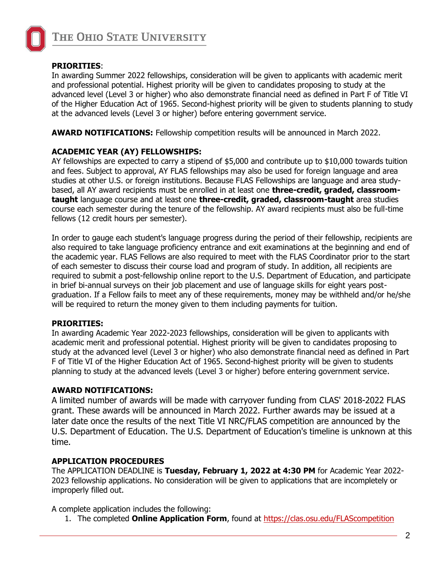

#### **PRIORITIES**:

In awarding Summer 2022 fellowships, consideration will be given to applicants with academic merit and professional potential. Highest priority will be given to candidates proposing to study at the advanced level (Level 3 or higher) who also demonstrate financial need as defined in Part F of Title VI of the Higher Education Act of 1965. Second-highest priority will be given to students planning to study at the advanced levels (Level 3 or higher) before entering government service.

**AWARD NOTIFICATIONS:** Fellowship competition results will be announced in March 2022.

### **ACADEMIC YEAR (AY) FELLOWSHIPS:**

AY fellowships are expected to carry a stipend of \$5,000 and contribute up to \$10,000 towards tuition and fees. Subject to approval, AY FLAS fellowships may also be used for foreign language and area studies at other U.S. or foreign institutions. Because FLAS Fellowships are language and area studybased, all AY award recipients must be enrolled in at least one **three-credit, graded, classroomtaught** language course and at least one **three-credit, graded, classroom-taught** area studies course each semester during the tenure of the fellowship. AY award recipients must also be full-time fellows (12 credit hours per semester).

In order to gauge each student's language progress during the period of their fellowship, recipients are also required to take language proficiency entrance and exit examinations at the beginning and end of the academic year. FLAS Fellows are also required to meet with the FLAS Coordinator prior to the start of each semester to discuss their course load and program of study. In addition, all recipients are required to submit a post-fellowship online report to the U.S. Department of Education, and participate in brief bi-annual surveys on their job placement and use of language skills for eight years postgraduation. If a Fellow fails to meet any of these requirements, money may be withheld and/or he/she will be required to return the money given to them including payments for tuition.

#### **PRIORITIES:**

In awarding Academic Year 2022-2023 fellowships, consideration will be given to applicants with academic merit and professional potential. Highest priority will be given to candidates proposing to study at the advanced level (Level 3 or higher) who also demonstrate financial need as defined in Part F of Title VI of the Higher Education Act of 1965. Second-highest priority will be given to students planning to study at the advanced levels (Level 3 or higher) before entering government service.

#### **AWARD NOTIFICATIONS:**

A limited number of awards will be made with carryover funding from CLAS' 2018-2022 FLAS grant. These awards will be announced in March 2022. Further awards may be issued at a later date once the results of the next Title VI NRC/FLAS competition are announced by the U.S. Department of Education. The U.S. Department of Education's timeline is unknown at this time.

### **APPLICATION PROCEDURES**

The APPLICATION DEADLINE is **Tuesday, February 1, 2022 at 4:30 PM** for Academic Year 2022- 2023 fellowship applications. No consideration will be given to applications that are incompletely or improperly filled out.

A complete application includes the following:

1. The completed **Online Application Form**, found at <https://clas.osu.edu/FLAScompetition>